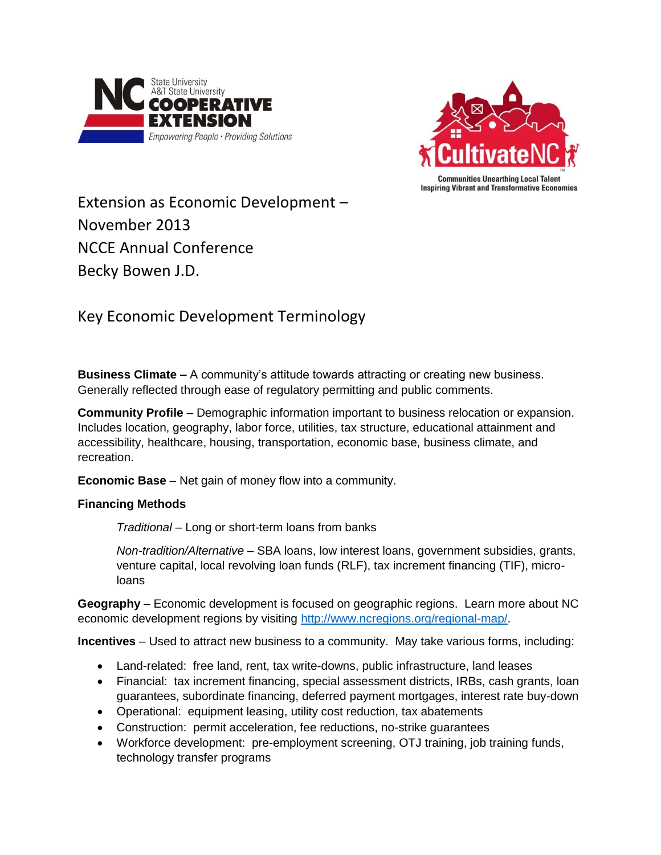



Extension as Economic Development – November 2013 NCCE Annual Conference Becky Bowen J.D.

## Key Economic Development Terminology

**Business Climate –** A community's attitude towards attracting or creating new business. Generally reflected through ease of regulatory permitting and public comments.

**Community Profile** – Demographic information important to business relocation or expansion. Includes location, geography, labor force, utilities, tax structure, educational attainment and accessibility, healthcare, housing, transportation, economic base, business climate, and recreation.

**Economic Base** – Net gain of money flow into a community.

## **Financing Methods**

*Traditional* – Long or short-term loans from banks

*Non-tradition/Alternative* – SBA loans, low interest loans, government subsidies, grants, venture capital, local revolving loan funds (RLF), tax increment financing (TIF), microloans

**Geography** – Economic development is focused on geographic regions. Learn more about NC economic development regions by visiting [http://www.ncregions.org/regional-map/.](http://www.ncregions.org/regional-map/)

**Incentives** – Used to attract new business to a community. May take various forms, including:

- Land-related: free land, rent, tax write-downs, public infrastructure, land leases
- Financial: tax increment financing, special assessment districts, IRBs, cash grants, loan guarantees, subordinate financing, deferred payment mortgages, interest rate buy-down
- Operational: equipment leasing, utility cost reduction, tax abatements
- Construction: permit acceleration, fee reductions, no-strike guarantees
- Workforce development: pre-employment screening, OTJ training, job training funds, technology transfer programs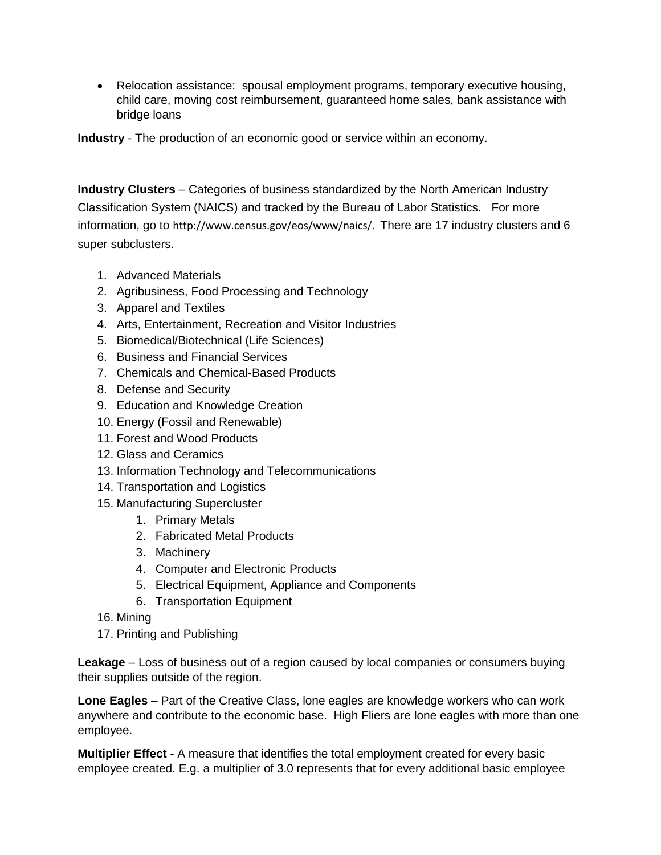Relocation assistance: spousal employment programs, temporary executive housing, child care, moving cost reimbursement, guaranteed home sales, bank assistance with bridge loans

**Industry** - The [production](http://en.wikipedia.org/wiki/Production_(economics)) of an [economic good](http://en.wikipedia.org/wiki/Economic_good) or [service](http://en.wikipedia.org/wiki/Service_(economics)) within an [economy.](http://en.wikipedia.org/wiki/Economy)

**Industry Clusters** – Categories of business standardized by the North American Industry Classification System (NAICS) and tracked by the Bureau of Labor Statistics. For more information, go to [http://www.census.gov/eos/www/naics/.](http://www.census.gov/eos/www/naics/) There are 17 industry clusters and 6 super subclusters.

- 1. Advanced Materials
- 2. Agribusiness, Food Processing and Technology
- 3. Apparel and Textiles
- 4. Arts, Entertainment, Recreation and Visitor Industries
- 5. Biomedical/Biotechnical (Life Sciences)
- 6. Business and Financial Services
- 7. Chemicals and Chemical-Based Products
- 8. Defense and Security
- 9. Education and Knowledge Creation
- 10. Energy (Fossil and Renewable)
- 11. Forest and Wood Products
- 12. Glass and Ceramics
- 13. Information Technology and Telecommunications
- 14. Transportation and Logistics
- 15. Manufacturing Supercluster
	- 1. Primary Metals
	- 2. Fabricated Metal Products
	- 3. Machinery
	- 4. Computer and Electronic Products
	- 5. Electrical Equipment, Appliance and Components
	- 6. Transportation Equipment
- 16. Mining
- 17. Printing and Publishing

**Leakage** – Loss of business out of a region caused by local companies or consumers buying their supplies outside of the region.

**Lone Eagles** – Part of the Creative Class, lone eagles are knowledge workers who can work anywhere and contribute to the economic base. High Fliers are lone eagles with more than one employee.

**Multiplier Effect -** A measure that identifies the total employment created for every basic employee created. E.g. a multiplier of 3.0 represents that for every additional basic employee